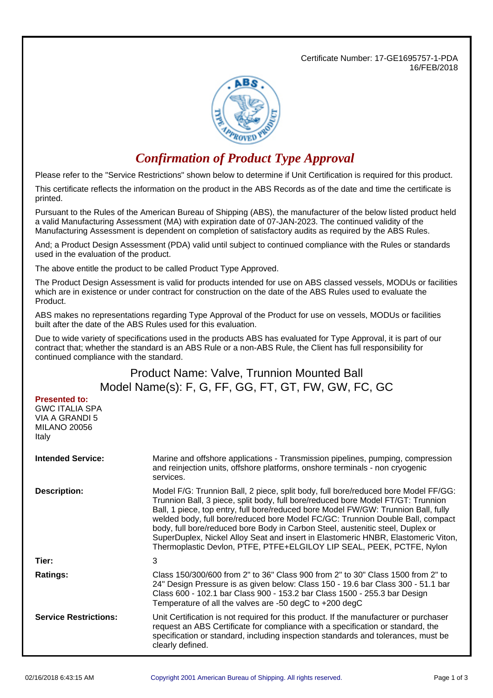Certificate Number: 17-GE1695757-1-PDA 16/FEB/2018



## *Confirmation of Product Type Approval*

Please refer to the "Service Restrictions" shown below to determine if Unit Certification is required for this product.

This certificate reflects the information on the product in the ABS Records as of the date and time the certificate is printed.

Pursuant to the Rules of the American Bureau of Shipping (ABS), the manufacturer of the below listed product held a valid Manufacturing Assessment (MA) with expiration date of 07-JAN-2023. The continued validity of the Manufacturing Assessment is dependent on completion of satisfactory audits as required by the ABS Rules.

And; a Product Design Assessment (PDA) valid until subject to continued compliance with the Rules or standards used in the evaluation of the product.

The above entitle the product to be called Product Type Approved.

The Product Design Assessment is valid for products intended for use on ABS classed vessels, MODUs or facilities which are in existence or under contract for construction on the date of the ABS Rules used to evaluate the Product.

ABS makes no representations regarding Type Approval of the Product for use on vessels, MODUs or facilities built after the date of the ABS Rules used for this evaluation.

Due to wide variety of specifications used in the products ABS has evaluated for Type Approval, it is part of our contract that; whether the standard is an ABS Rule or a non-ABS Rule, the Client has full responsibility for continued compliance with the standard.

## Product Name: Valve, Trunnion Mounted Ball Model Name(s): F, G, FF, GG, FT, GT, FW, GW, FC, GC

| <b>GWC ITALIA SPA</b><br>VIA A GRANDI 5<br><b>MILANO 20056</b><br>Italy |                                                                                                                                                                                                                                                                                                                                                                                                                                                                                                                                                                                                |
|-------------------------------------------------------------------------|------------------------------------------------------------------------------------------------------------------------------------------------------------------------------------------------------------------------------------------------------------------------------------------------------------------------------------------------------------------------------------------------------------------------------------------------------------------------------------------------------------------------------------------------------------------------------------------------|
| <b>Intended Service:</b>                                                | Marine and offshore applications - Transmission pipelines, pumping, compression<br>and reinjection units, offshore platforms, onshore terminals - non cryogenic<br>services.                                                                                                                                                                                                                                                                                                                                                                                                                   |
| <b>Description:</b>                                                     | Model F/G: Trunnion Ball, 2 piece, split body, full bore/reduced bore Model FF/GG:<br>Trunnion Ball, 3 piece, split body, full bore/reduced bore Model FT/GT: Trunnion<br>Ball, 1 piece, top entry, full bore/reduced bore Model FW/GW: Trunnion Ball, fully<br>welded body, full bore/reduced bore Model FC/GC: Trunnion Double Ball, compact<br>body, full bore/reduced bore Body in Carbon Steel, austenitic steel, Duplex or<br>SuperDuplex, Nickel Alloy Seat and insert in Elastomeric HNBR, Elastomeric Viton,<br>Thermoplastic Devlon, PTFE, PTFE+ELGILOY LIP SEAL, PEEK, PCTFE, Nylon |
| Tier:                                                                   | 3                                                                                                                                                                                                                                                                                                                                                                                                                                                                                                                                                                                              |
| Ratings:                                                                | Class 150/300/600 from 2" to 36" Class 900 from 2" to 30" Class 1500 from 2" to<br>24" Design Pressure is as given below: Class 150 - 19.6 bar Class 300 - 51.1 bar<br>Class 600 - 102.1 bar Class 900 - 153.2 bar Class 1500 - 255.3 bar Design<br>Temperature of all the valves are -50 degC to $+200$ degC                                                                                                                                                                                                                                                                                  |
| <b>Service Restrictions:</b>                                            | Unit Certification is not required for this product. If the manufacturer or purchaser<br>request an ABS Certificate for compliance with a specification or standard, the<br>specification or standard, including inspection standards and tolerances, must be<br>clearly defined.                                                                                                                                                                                                                                                                                                              |

**Presented to:**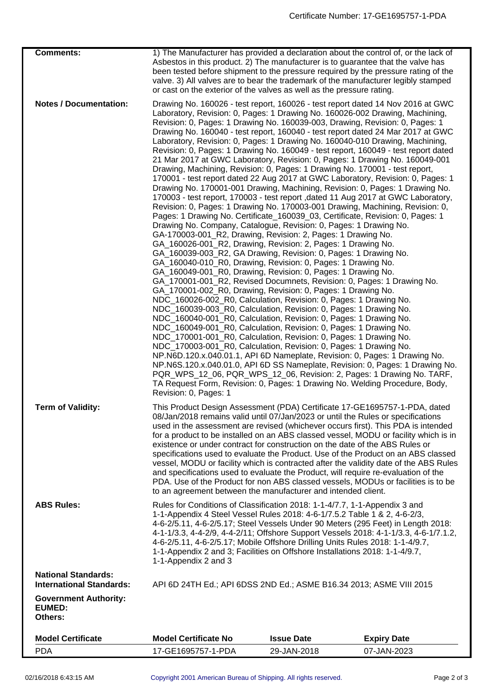| <b>Comments:</b>                                              | 1) The Manufacturer has provided a declaration about the control of, or the lack of<br>Asbestos in this product. 2) The manufacturer is to guarantee that the valve has<br>been tested before shipment to the pressure required by the pressure rating of the<br>valve. 3) All valves are to bear the trademark of the manufacturer legibly stamped<br>or cast on the exterior of the valves as well as the pressure rating.                                                                                                                                                                                                                                                                                                                                                                                                                                                                                                                                                                                                                                                                                                                                                                                                                                                                                                                                                                                                                                                                                                                                                                                                                                                                                                                                                                                                                                                                                                                                                                                                                                                                                                                                                                                                                                                                                                                                                                                                     |                   |                    |  |
|---------------------------------------------------------------|----------------------------------------------------------------------------------------------------------------------------------------------------------------------------------------------------------------------------------------------------------------------------------------------------------------------------------------------------------------------------------------------------------------------------------------------------------------------------------------------------------------------------------------------------------------------------------------------------------------------------------------------------------------------------------------------------------------------------------------------------------------------------------------------------------------------------------------------------------------------------------------------------------------------------------------------------------------------------------------------------------------------------------------------------------------------------------------------------------------------------------------------------------------------------------------------------------------------------------------------------------------------------------------------------------------------------------------------------------------------------------------------------------------------------------------------------------------------------------------------------------------------------------------------------------------------------------------------------------------------------------------------------------------------------------------------------------------------------------------------------------------------------------------------------------------------------------------------------------------------------------------------------------------------------------------------------------------------------------------------------------------------------------------------------------------------------------------------------------------------------------------------------------------------------------------------------------------------------------------------------------------------------------------------------------------------------------------------------------------------------------------------------------------------------------|-------------------|--------------------|--|
| <b>Notes / Documentation:</b>                                 | Drawing No. 160026 - test report, 160026 - test report dated 14 Nov 2016 at GWC<br>Laboratory, Revision: 0, Pages: 1 Drawing No. 160026-002 Drawing, Machining,<br>Revision: 0, Pages: 1 Drawing No. 160039-003, Drawing, Revision: 0, Pages: 1<br>Drawing No. 160040 - test report, 160040 - test report dated 24 Mar 2017 at GWC<br>Laboratory, Revision: 0, Pages: 1 Drawing No. 160040-010 Drawing, Machining,<br>Revision: 0, Pages: 1 Drawing No. 160049 - test report, 160049 - test report dated<br>21 Mar 2017 at GWC Laboratory, Revision: 0, Pages: 1 Drawing No. 160049-001<br>Drawing, Machining, Revision: 0, Pages: 1 Drawing No. 170001 - test report,<br>170001 - test report dated 22 Aug 2017 at GWC Laboratory, Revision: 0, Pages: 1<br>Drawing No. 170001-001 Drawing, Machining, Revision: 0, Pages: 1 Drawing No.<br>170003 - test report, 170003 - test report, dated 11 Aug 2017 at GWC Laboratory,<br>Revision: 0, Pages: 1 Drawing No. 170003-001 Drawing, Machining, Revision: 0,<br>Pages: 1 Drawing No. Certificate_160039_03, Certificate, Revision: 0, Pages: 1<br>Drawing No. Company, Catalogue, Revision: 0, Pages: 1 Drawing No.<br>GA-170003-001_R2, Drawing, Revision: 2, Pages: 1 Drawing No.<br>GA_160026-001_R2, Drawing, Revision: 2, Pages: 1 Drawing No.<br>GA_160039-003_R2, GA Drawing, Revision: 0, Pages: 1 Drawing No.<br>GA_160040-010_R0, Drawing, Revision: 0, Pages: 1 Drawing No.<br>GA_160049-001_R0, Drawing, Revision: 0, Pages: 1 Drawing No.<br>GA_170001-001_R2, Revised Documnets, Revision: 0, Pages: 1 Drawing No.<br>GA_170001-002_R0, Drawing, Revision: 0, Pages: 1 Drawing No.<br>NDC_160026-002_R0, Calculation, Revision: 0, Pages: 1 Drawing No.<br>NDC_160039-003_R0, Calculation, Revision: 0, Pages: 1 Drawing No.<br>NDC_160040-001_R0, Calculation, Revision: 0, Pages: 1 Drawing No.<br>NDC_160049-001_R0, Calculation, Revision: 0, Pages: 1 Drawing No.<br>NDC_170001-001_R0, Calculation, Revision: 0, Pages: 1 Drawing No.<br>NDC_170003-001_R0, Calculation, Revision: 0, Pages: 1 Drawing No.<br>NP.N6D.120.x.040.01.1, API 6D Nameplate, Revision: 0, Pages: 1 Drawing No.<br>NP.N6S.120.x.040.01.0, API 6D SS Nameplate, Revision: 0, Pages: 1 Drawing No.<br>PQR_WPS_12_06, PQR_WPS_12_06, Revision: 2, Pages: 1 Drawing No. TARF,<br>TA Request Form, Revision: 0, Pages: 1 Drawing No. Welding Procedure, Body,<br>Revision: 0, Pages: 1 |                   |                    |  |
| <b>Term of Validity:</b>                                      | This Product Design Assessment (PDA) Certificate 17-GE1695757-1-PDA, dated<br>08/Jan/2018 remains valid until 07/Jan/2023 or until the Rules or specifications<br>used in the assessment are revised (whichever occurs first). This PDA is intended<br>for a product to be installed on an ABS classed vessel, MODU or facility which is in<br>existence or under contract for construction on the date of the ABS Rules or<br>specifications used to evaluate the Product. Use of the Product on an ABS classed<br>vessel, MODU or facility which is contracted after the validity date of the ABS Rules<br>and specifications used to evaluate the Product, will require re-evaluation of the<br>PDA. Use of the Product for non ABS classed vessels, MODUs or facilities is to be<br>to an agreement between the manufacturer and intended client.                                                                                                                                                                                                                                                                                                                                                                                                                                                                                                                                                                                                                                                                                                                                                                                                                                                                                                                                                                                                                                                                                                                                                                                                                                                                                                                                                                                                                                                                                                                                                                            |                   |                    |  |
| <b>ABS Rules:</b>                                             | Rules for Conditions of Classification 2018: 1-1-4/7.7, 1-1-Appendix 3 and<br>1-1-Appendix 4 Steel Vessel Rules 2018: 4-6-1/7.5.2 Table 1 & 2, 4-6-2/3,<br>4-6-2/5.11, 4-6-2/5.17; Steel Vessels Under 90 Meters (295 Feet) in Length 2018:<br>4-1-1/3.3, 4-4-2/9, 4-4-2/11; Offshore Support Vessels 2018: 4-1-1/3.3, 4-6-1/7.1.2,<br>4-6-2/5.11, 4-6-2/5.17; Mobile Offshore Drilling Units Rules 2018: 1-1-4/9.7,<br>1-1-Appendix 2 and 3; Facilities on Offshore Installations 2018: 1-1-4/9.7,<br>1-1-Appendix 2 and 3                                                                                                                                                                                                                                                                                                                                                                                                                                                                                                                                                                                                                                                                                                                                                                                                                                                                                                                                                                                                                                                                                                                                                                                                                                                                                                                                                                                                                                                                                                                                                                                                                                                                                                                                                                                                                                                                                                      |                   |                    |  |
| <b>National Standards:</b><br><b>International Standards:</b> | API 6D 24TH Ed.; API 6DSS 2ND Ed.; ASME B16.34 2013; ASME VIII 2015                                                                                                                                                                                                                                                                                                                                                                                                                                                                                                                                                                                                                                                                                                                                                                                                                                                                                                                                                                                                                                                                                                                                                                                                                                                                                                                                                                                                                                                                                                                                                                                                                                                                                                                                                                                                                                                                                                                                                                                                                                                                                                                                                                                                                                                                                                                                                              |                   |                    |  |
| <b>Government Authority:</b><br><b>EUMED:</b><br>Others:      |                                                                                                                                                                                                                                                                                                                                                                                                                                                                                                                                                                                                                                                                                                                                                                                                                                                                                                                                                                                                                                                                                                                                                                                                                                                                                                                                                                                                                                                                                                                                                                                                                                                                                                                                                                                                                                                                                                                                                                                                                                                                                                                                                                                                                                                                                                                                                                                                                                  |                   |                    |  |
| <b>Model Certificate</b>                                      | <b>Model Certificate No</b>                                                                                                                                                                                                                                                                                                                                                                                                                                                                                                                                                                                                                                                                                                                                                                                                                                                                                                                                                                                                                                                                                                                                                                                                                                                                                                                                                                                                                                                                                                                                                                                                                                                                                                                                                                                                                                                                                                                                                                                                                                                                                                                                                                                                                                                                                                                                                                                                      | <b>Issue Date</b> | <b>Expiry Date</b> |  |
| <b>PDA</b>                                                    | 17-GE1695757-1-PDA                                                                                                                                                                                                                                                                                                                                                                                                                                                                                                                                                                                                                                                                                                                                                                                                                                                                                                                                                                                                                                                                                                                                                                                                                                                                                                                                                                                                                                                                                                                                                                                                                                                                                                                                                                                                                                                                                                                                                                                                                                                                                                                                                                                                                                                                                                                                                                                                               | 29-JAN-2018       | 07-JAN-2023        |  |